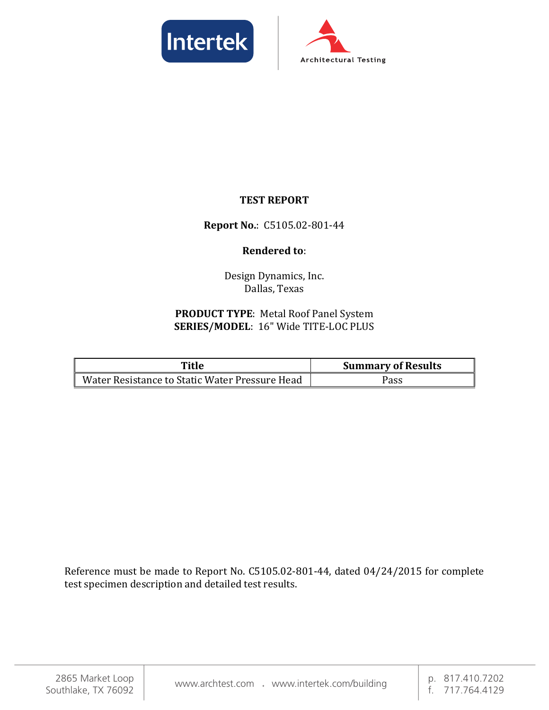



### **TEST REPORT**

#### **Report No.**: C5105.02-801-44

#### **Rendered to**:

Design Dynamics, Inc. Dallas, Texas

#### **PRODUCT TYPE**: Metal Roof Panel System **SERIES/MODEL**: 16" Wide TITE-LOC PLUS

| Title                                          | <b>Summary of Results</b> |  |
|------------------------------------------------|---------------------------|--|
| Water Resistance to Static Water Pressure Head | Pass                      |  |

Reference must be made to Report No. C5105.02-801-44, dated 04/24/2015 for complete test specimen description and detailed test results.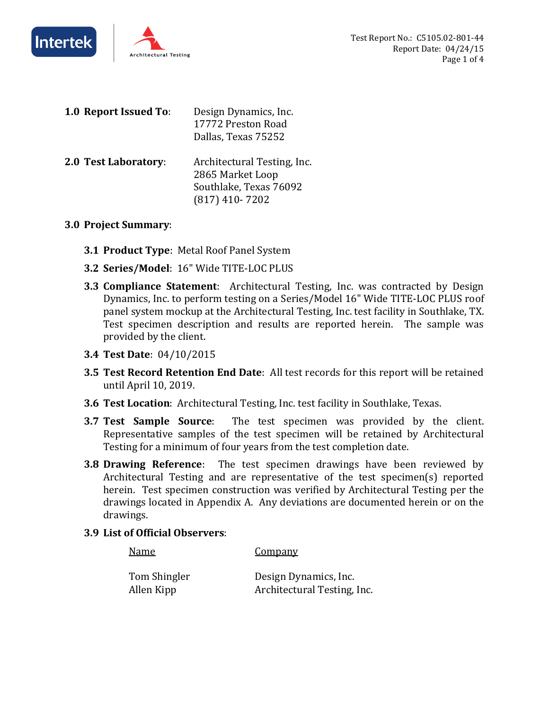



| 1.0 Report Issued To: | Design Dynamics, Inc.<br>17772 Preston Road<br>Dallas, Texas 75252                            |
|-----------------------|-----------------------------------------------------------------------------------------------|
| 2.0 Test Laboratory:  | Architectural Testing, Inc.<br>2865 Market Loop<br>Southlake, Texas 76092<br>$(817)$ 410-7202 |

#### **3.0 Project Summary**:

- **3.1 Product Type**: Metal Roof Panel System
- **3.2 Series/Model**: 16" Wide TITE-LOC PLUS
- **3.3 Compliance Statement**: Architectural Testing, Inc. was contracted by Design Dynamics, Inc. to perform testing on a Series/Model 16" Wide TITE-LOC PLUS roof panel system mockup at the Architectural Testing, Inc. test facility in Southlake, TX. Test specimen description and results are reported herein. The sample was provided by the client.
- **3.4 Test Date**: 04/10/2015
- **3.5 Test Record Retention End Date**: All test records for this report will be retained until April 10, 2019.
- **3.6 Test Location**: Architectural Testing, Inc. test facility in Southlake, Texas.
- **3.7 Test Sample Source**: The test specimen was provided by the client. Representative samples of the test specimen will be retained by Architectural Testing for a minimum of four years from the test completion date.
- **3.8 Drawing Reference**: The test specimen drawings have been reviewed by Architectural Testing and are representative of the test specimen(s) reported herein. Test specimen construction was verified by Architectural Testing per the drawings located in Appendix A. Any deviations are documented herein or on the drawings.
- **3.9 List of Official Observers**:

Name Company

Tom Shingler Design Dynamics, Inc. Allen Kipp **Architectural Testing, Inc.**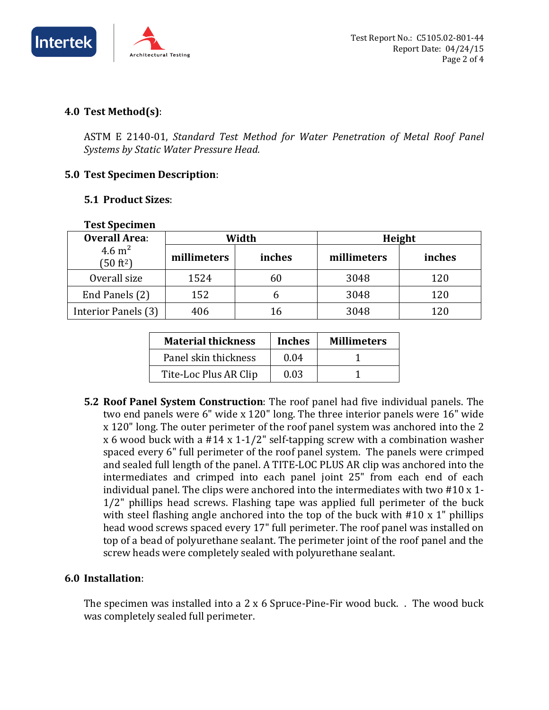

#### **4.0 Test Method(s)**:

ASTM E 2140-01, *Standard Test Method for Water Penetration of Metal Roof Panel Systems by Static Water Pressure Head.* 

#### **5.0 Test Specimen Description**:

#### **5.1 Product Sizes**:

| I est Specimen<br><b>Overall Area:</b> | Width       |        | Height      |        |
|----------------------------------------|-------------|--------|-------------|--------|
| 4.6 $m2$<br>(50 ft <sup>2</sup> )      | millimeters | inches | millimeters | inches |
| Overall size                           | 1524        | 60     | 3048        | 120    |
| End Panels (2)                         | 152         | h      | 3048        | 120    |
| Interior Panels (3)                    | 406         | 16     | 3048        | 120    |

#### **Test Specimen**

| <b>Material thickness</b> | <b>Inches</b> | <b>Millimeters</b> |
|---------------------------|---------------|--------------------|
| Panel skin thickness      | 0.04          |                    |
| Tite-Loc Plus AR Clip     | 0.03          |                    |

**5.2 Roof Panel System Construction**: The roof panel had five individual panels. The two end panels were 6" wide x 120" long. The three interior panels were 16" wide x 120" long. The outer perimeter of the roof panel system was anchored into the 2 x 6 wood buck with a #14 x 1-1/2" self-tapping screw with a combination washer spaced every 6" full perimeter of the roof panel system. The panels were crimped and sealed full length of the panel. A TITE-LOC PLUS AR clip was anchored into the intermediates and crimped into each panel joint 25" from each end of each individual panel. The clips were anchored into the intermediates with two #10 x 1- 1/2" phillips head screws. Flashing tape was applied full perimeter of the buck with steel flashing angle anchored into the top of the buck with #10 x 1" phillips head wood screws spaced every 17" full perimeter. The roof panel was installed on top of a bead of polyurethane sealant. The perimeter joint of the roof panel and the screw heads were completely sealed with polyurethane sealant.

#### **6.0 Installation**:

The specimen was installed into a 2 x 6 Spruce-Pine-Fir wood buck. . The wood buck was completely sealed full perimeter.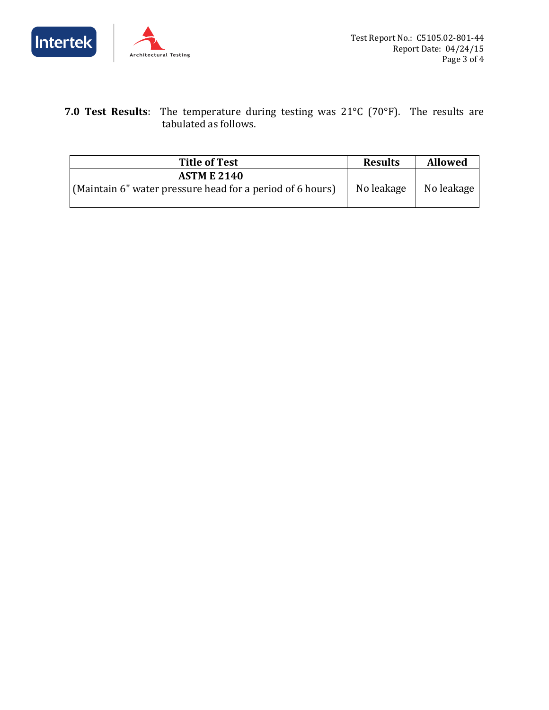



**7.0 Test Results**: The temperature during testing was 21°C (70°F). The results are tabulated as follows.

| <b>Title of Test</b>                                                            | <b>Results</b> | <b>Allowed</b> |
|---------------------------------------------------------------------------------|----------------|----------------|
| <b>ASTM E 2140</b><br>(Maintain 6" water pressure head for a period of 6 hours) | No leakage     | No leakage     |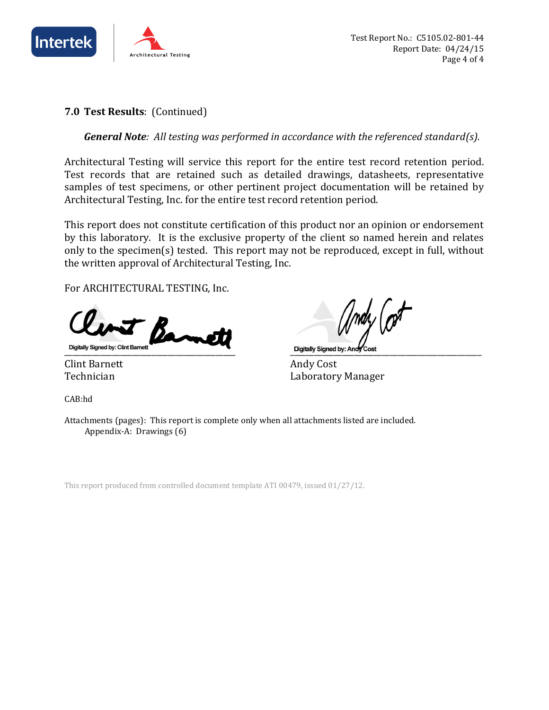

#### **7.0 Test Results**: (Continued)

*General Note: All testing was performed in accordance with the referenced standard(s).*

Architectural Testing will service this report for the entire test record retention period. Test records that are retained such as detailed drawings, datasheets, representative samples of test specimens, or other pertinent project documentation will be retained by Architectural Testing, Inc. for the entire test record retention period.

This report does not constitute certification of this product nor an opinion or endorsement by this laboratory. It is the exclusive property of the client so named herein and relates only to the specimen(s) tested. This report may not be reproduced, except in full, without the written approval of Architectural Testing, Inc.

For ARCHITECTURAL TESTING, Inc.

 $\beta$ Digitally Signed by: Clint Barnett Contract of Contract Contract Contract Contract Contract Contract Contract Contract Contract Contract Contract Contract Contract Contract Contract Contract Contract Contract Contract Cont

CAB:hd

Clint Barnett Andy Cost Technician Laboratory Manager

Attachments (pages): This report is complete only when all attachments listed are included. Appendix-A: Drawings (6)

This report produced from controlled document template ATI 00479, issued 01/27/12.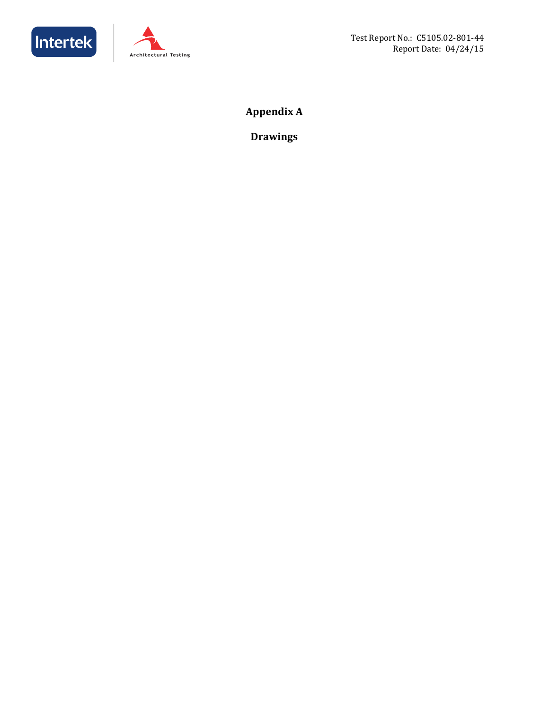



## **Appendix A**

**Drawings**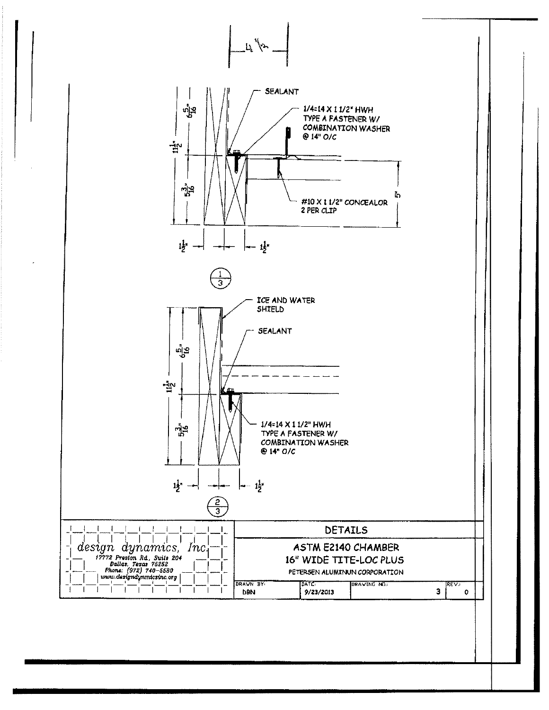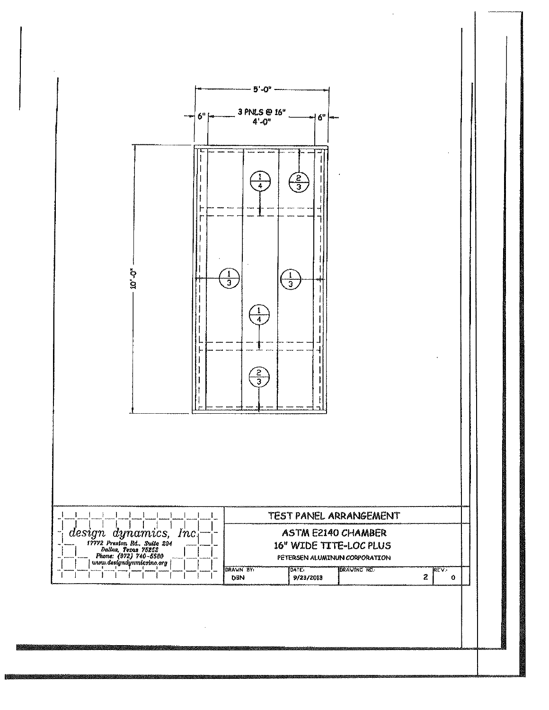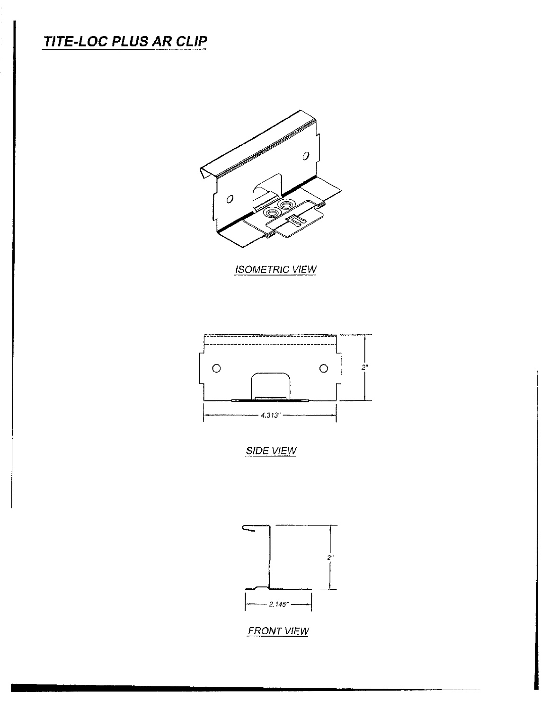# **TITE-LOC PLUS AR CLIP**



**ISOMETRIC VIEW** 



**SIDE VIEW** 



**FRONT VIEW**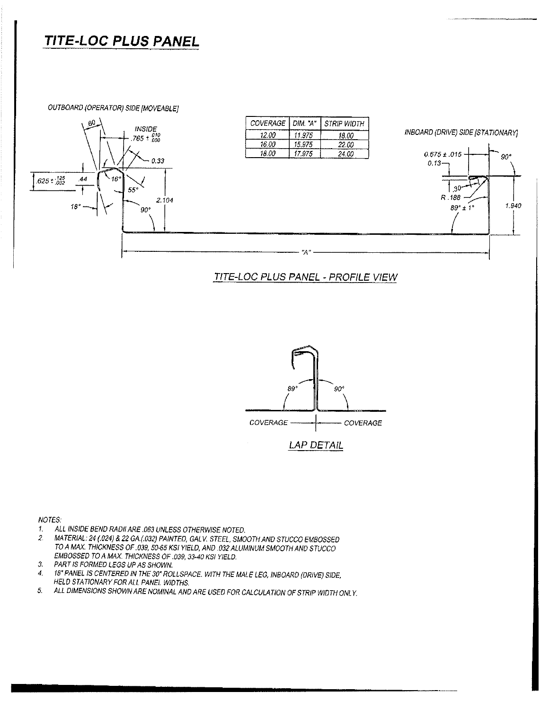## TITE-LOC PLUS PANEL

OUTBOARD (OPERATOR) SIDE [MOVEABLE]



#### TITE-LOC PLUS PANEL - PROFILE VIEW



#### NOTES:

- ALL INSIDE BEND RADII ARE .063 UNLESS OTHERWISE NOTED.  $\mathbf{1}$
- MATERIAL: 24 (.024) & 22 GA.(.032) PAINTED, GALV. STEEL, SMOOTH AND STUCCO EMBOSSED  $\overline{z}$ TO A MAX. THICKNESS OF .039, 50-65 KSI YIELD, AND .032 ALUMINUM SMOOTH AND STUCCO EMBOSSED TO A MAX. THICKNESS OF .039, 33-40 KSI YIELD.
- PART IS FORMED LEGS UP AS SHOWN.  $\mathfrak{I}$ .
- 18" PANEL IS CENTERED IN THE 30" ROLLSPACE. WITH THE MALE LEG, INBOARD (DRIVE) SIDE,  $\overline{4}$ HELD STATIONARY FOR ALL PANEL WIDTHS.
- ALL DIMENSIONS SHOWN ARE NOMINAL AND ARE USED FOR CALCULATION OF STRIP WIDTH ONLY.  $5.$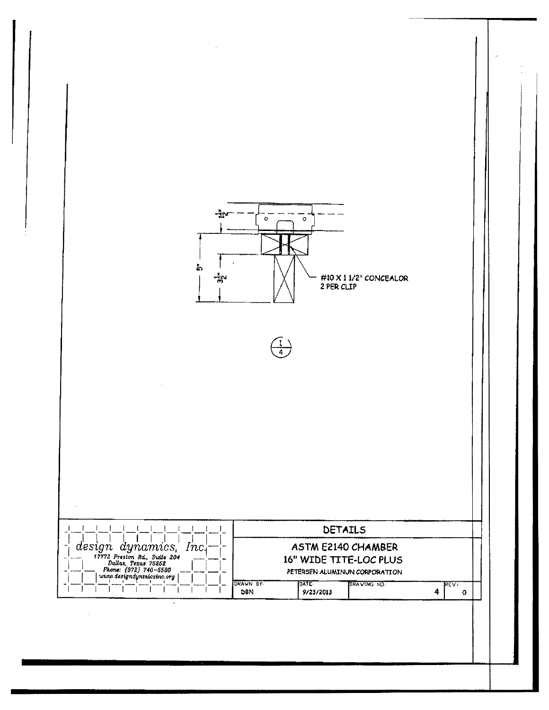